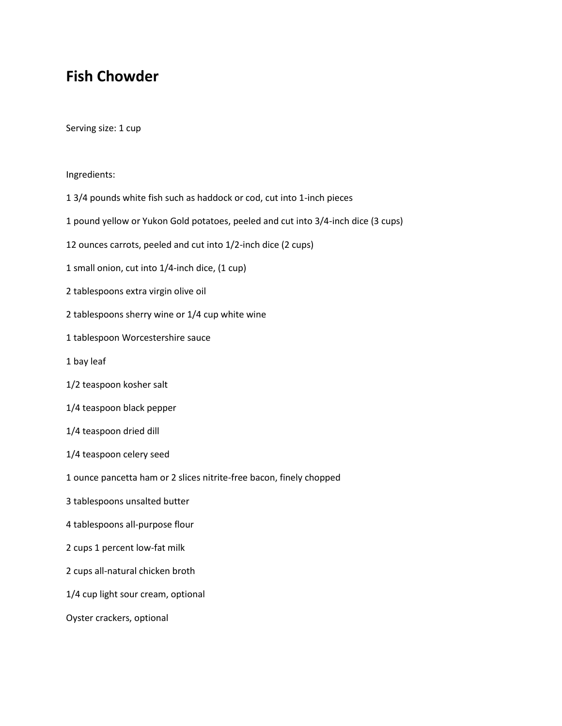## **Fish Chowder**

Serving size: 1 cup

## Ingredients:

- 1 3/4 pounds white fish such as haddock or cod, cut into 1-inch pieces
- 1 pound yellow or Yukon Gold potatoes, peeled and cut into 3/4-inch dice (3 cups)
- 12 ounces carrots, peeled and cut into 1/2-inch dice (2 cups)
- 1 small onion, cut into 1/4-inch dice, (1 cup)
- 2 tablespoons extra virgin olive oil
- 2 tablespoons sherry wine or 1/4 cup white wine
- 1 tablespoon Worcestershire sauce
- 1 bay leaf
- 1/2 teaspoon kosher salt
- 1/4 teaspoon black pepper
- 1/4 teaspoon dried dill
- 1/4 teaspoon celery seed
- 1 ounce pancetta ham or 2 slices nitrite-free bacon, finely chopped
- 3 tablespoons unsalted butter
- 4 tablespoons all-purpose flour
- 2 cups 1 percent low-fat milk
- 2 cups all-natural chicken broth
- 1/4 cup light sour cream, optional
- Oyster crackers, optional